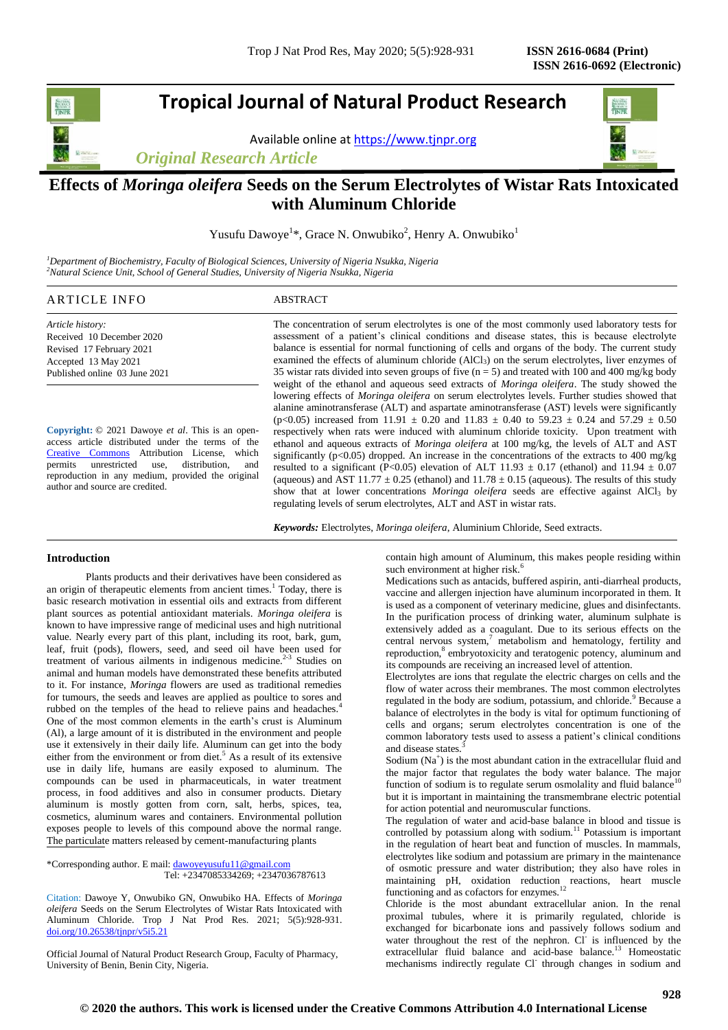## **Tropical Journal of Natural Product Research**

Available online a[t https://www.tjnpr.org](https://www.tjnpr.org/)

*Original Research Article*



## **Effects of** *Moringa oleifera* **Seeds on the Serum Electrolytes of Wistar Rats Intoxicated with Aluminum Chloride**

Yusufu Dawoye<sup>1\*</sup>, Grace N. Onwubiko<sup>2</sup>, Henry A. Onwubiko<sup>1</sup>

*<sup>1</sup>Department of Biochemistry, Faculty of Biological Sciences, University of Nigeria Nsukka, Nigeria <sup>2</sup>Natural Science Unit, School of General Studies, University of Nigeria Nsukka, Nigeria*

## ARTICLE INFO ABSTRACT

*Article history:* Received 10 December 2020 Revised 17 February 2021 Accepted 13 May 2021 Published online 03 June 2021

**Copyright:** © 2021 Dawoye *et al*. This is an openaccess article distributed under the terms of the [Creative Commons](https://creativecommons.org/licenses/by/4.0/) Attribution License, which permits unrestricted use, distribution, and reproduction in any medium, provided the original author and source are credited.

The concentration of serum electrolytes is one of the most commonly used laboratory tests for assessment of a patient's clinical conditions and disease states, this is because electrolyte balance is essential for normal functioning of cells and organs of the body. The current study examined the effects of aluminum chloride (AlCl<sub>3</sub>) on the serum electrolytes, liver enzymes of 35 wistar rats divided into seven groups of five  $(n = 5)$  and treated with 100 and 400 mg/kg body weight of the ethanol and aqueous seed extracts of *Moringa oleifera*. The study showed the lowering effects of *Moringa oleifera* on serum electrolytes levels. Further studies showed that alanine aminotransferase (ALT) and aspartate aminotransferase (AST) levels were significantly  $(p<0.05)$  increased from 11.91  $\pm$  0.20 and 11.83  $\pm$  0.40 to 59.23  $\pm$  0.24 and 57.29  $\pm$  0.50 respectively when rats were induced with aluminum chloride toxicity. Upon treatment with ethanol and aqueous extracts of *Moringa oleifera* at 100 mg/kg, the levels of ALT and AST significantly ( $p$ <0.05) dropped. An increase in the concentrations of the extracts to 400 mg/kg resulted to a significant (P<0.05) elevation of ALT 11.93  $\pm$  0.17 (ethanol) and 11.94  $\pm$  0.07 (aqueous) and AST  $11.77 \pm 0.25$  (ethanol) and  $11.78 \pm 0.15$  (aqueous). The results of this study show that at lower concentrations *Moringa oleifera* seeds are effective against AlCl<sub>3</sub> by regulating levels of serum electrolytes, ALT and AST in wistar rats.

*Keywords:* Electrolytes, *Moringa oleifera*, Aluminium Chloride, Seed extracts.

## **Introduction**

 Plants products and their derivatives have been considered as an origin of therapeutic elements from ancient times.<sup>1</sup> Today, there is basic research motivation in essential oils and extracts from different plant sources as potential antioxidant materials. *Moringa oleifera* is known to have impressive range of medicinal uses and high nutritional value. Nearly every part of this plant, including its root, bark, gum, leaf, fruit (pods), flowers, seed, and seed oil have been used for treatment of various ailments in indigenous medicine. $2-3$  Studies on animal and human models have demonstrated these benefits attributed to it. For instance, *Moringa* flowers are used as traditional remedies for tumours, the seeds and leaves are applied as poultice to sores and rubbed on the temples of the head to relieve pains and headaches.<sup>4</sup> One of the most common elements in the earth's crust is Aluminum (Al), a large amount of it is distributed in the environment and people use it extensively in their daily life. Aluminum can get into the body either from the environment or from diet.<sup>5</sup> As a result of its extensive use in daily life, humans are easily exposed to aluminum. The compounds can be used in pharmaceuticals, in water treatment process, in food additives and also in consumer products. Dietary aluminum is mostly gotten from corn, salt, herbs, spices, tea, cosmetics, aluminum wares and containers. Environmental pollution exposes people to levels of this compound above the normal range. The particulate matters released by cement-manufacturing plants

\*Corresponding author. E mail[: dawoyeyusufu11@gmail.com](mailto:dawoyeyusufu11@gmail.com) Tel: +2347085334269; +2347036787613

Citation: Dawoye Y, Onwubiko GN, Onwubiko HA. Effects of *Moringa oleifera* Seeds on the Serum Electrolytes of Wistar Rats Intoxicated with Aluminum Chloride. Trop J Nat Prod Res. 2021; 5(5):928-931. [doi.org/10.26538/tjnpr/v5i5.2](http://www.doi.org/10.26538/tjnpr/v1i4.5)1

Official Journal of Natural Product Research Group, Faculty of Pharmacy, University of Benin, Benin City, Nigeria.

contain high amount of Aluminum, this makes people residing within such environment at higher risk.

Medications such as antacids, buffered aspirin, anti-diarrheal products, vaccine and allergen injection have aluminum incorporated in them. It is used as a component of veterinary medicine, glues and disinfectants. In the purification process of drinking water, aluminum sulphate is extensively added as a coagulant. Due to its serious effects on the central nervous system, $\frac{7}{1}$  metabolism and hematology, fertility and reproduction,<sup>8</sup> embryotoxicity and teratogenic potency, aluminum and its compounds are receiving an increased level of attention.

Electrolytes are ions that regulate the electric charges on cells and the flow of water across their membranes. The most common electrolytes regulated in the body are sodium, potassium, and chloride. <sup>9</sup> Because a balance of electrolytes in the body is vital for optimum functioning of cells and organs; serum electrolytes concentration is one of the common laboratory tests used to assess a patient's clinical conditions and disease states.

Sodium (Na<sup>+</sup>) is the most abundant cation in the extracellular fluid and the major factor that regulates the body water balance. The major function of sodium is to regulate serum osmolality and fluid balance<sup>10</sup> but it is important in maintaining the transmembrane electric potential for action potential and neuromuscular functions.

The regulation of water and acid-base balance in blood and tissue is controlled by potassium along with sodium.<sup>11</sup> Potassium is important in the regulation of heart beat and function of muscles. In mammals, electrolytes like sodium and potassium are primary in the maintenance of osmotic pressure and water distribution; they also have roles in maintaining pH, oxidation reduction reactions, heart muscle functioning and as cofactors for enzymes.<sup>12</sup>

Chloride is the most abundant extracellular anion. In the renal proximal tubules, where it is primarily regulated, chloride is exchanged for bicarbonate ions and passively follows sodium and water throughout the rest of the nephron. Cl is influenced by the extracellular fluid balance and acid-base balance.<sup>13</sup> Homeostatic mechanisms indirectly regulate Cl through changes in sodium and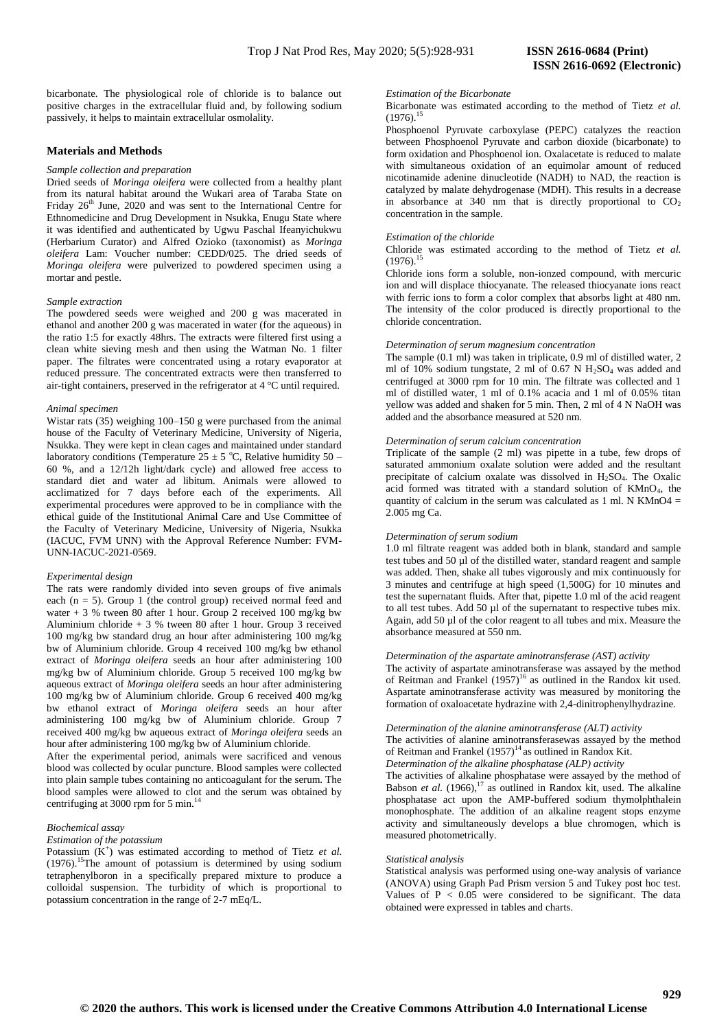bicarbonate. The physiological role of chloride is to balance out positive charges in the extracellular fluid and, by following sodium passively, it helps to maintain extracellular osmolality.

## **Materials and Methods**

#### *Sample collection and preparation*

Dried seeds of *Moringa oleifera* were collected from a healthy plant from its natural habitat around the Wukari area of Taraba State on Friday  $26<sup>th</sup>$  June, 2020 and was sent to the International Centre for Ethnomedicine and Drug Development in Nsukka, Enugu State where it was identified and authenticated by Ugwu Paschal Ifeanyichukwu (Herbarium Curator) and Alfred Ozioko (taxonomist) as *Moringa oleifera* Lam: Voucher number: CEDD/025. The dried seeds of *Moringa oleifera* were pulverized to powdered specimen using a mortar and pestle.

#### *Sample extraction*

The powdered seeds were weighed and 200 g was macerated in ethanol and another 200 g was macerated in water (for the aqueous) in the ratio 1:5 for exactly 48hrs. The extracts were filtered first using a clean white sieving mesh and then using the Watman No. 1 filter paper. The filtrates were concentrated using a rotary evaporator at reduced pressure. The concentrated extracts were then transferred to air-tight containers, preserved in the refrigerator at 4 °C until required.

#### *Animal specimen*

Wistar rats (35) weighing 100–150 g were purchased from the animal house of the Faculty of Veterinary Medicine, University of Nigeria, Nsukka. They were kept in clean cages and maintained under standard laboratory conditions (Temperature 25  $\pm$  5 °C, Relative humidity 50 – 60 %, and a 12/12h light/dark cycle) and allowed free access to standard diet and water ad libitum. Animals were allowed to acclimatized for 7 days before each of the experiments. All experimental procedures were approved to be in compliance with the ethical guide of the Institutional Animal Care and Use Committee of the Faculty of Veterinary Medicine, University of Nigeria, Nsukka (IACUC, FVM UNN) with the Approval Reference Number: FVM-UNN-IACUC-2021-0569.

#### *Experimental design*

The rats were randomly divided into seven groups of five animals each  $(n = 5)$ . Group 1 (the control group) received normal feed and water + 3 % tween 80 after 1 hour. Group 2 received 100 mg/kg bw Aluminium chloride + 3 % tween 80 after 1 hour. Group 3 received 100 mg/kg bw standard drug an hour after administering 100 mg/kg bw of Aluminium chloride. Group 4 received 100 mg/kg bw ethanol extract of *Moringa oleifera* seeds an hour after administering 100 mg/kg bw of Aluminium chloride. Group 5 received 100 mg/kg bw aqueous extract of *Moringa oleifera* seeds an hour after administering 100 mg/kg bw of Aluminium chloride. Group 6 received 400 mg/kg bw ethanol extract of *Moringa oleifera* seeds an hour after administering 100 mg/kg bw of Aluminium chloride. Group 7 received 400 mg/kg bw aqueous extract of *Moringa oleifera* seeds an hour after administering 100 mg/kg bw of Aluminium chloride.

After the experimental period, animals were sacrificed and venous blood was collected by ocular puncture. Blood samples were collected into plain sample tubes containing no anticoagulant for the serum. The blood samples were allowed to clot and the serum was obtained by centrifuging at 3000 rpm for 5 min.<sup>1</sup>

## *Biochemical assay*

#### *Estimation of the potassium*

Potassium  $(K^+)$  was estimated according to method of Tietz *et al.*  $(1976)$ .<sup>15</sup>The amount of potassium is determined by using sodium tetraphenylboron in a specifically prepared mixture to produce a colloidal suspension. The turbidity of which is proportional to potassium concentration in the range of 2-7 mEq/L.

#### *Estimation of the Bicarbonate*

Bicarbonate was estimated according to the method of Tietz *et al.*  $(1976)^{15}$ 

Phosphoenol Pyruvate carboxylase (PEPC) catalyzes the reaction between Phosphoenol Pyruvate and carbon dioxide (bicarbonate) to form oxidation and Phosphoenol ion. Oxalacetate is reduced to malate with simultaneous oxidation of an equimolar amount of reduced nicotinamide adenine dinucleotide (NADH) to NAD, the reaction is catalyzed by malate dehydrogenase (MDH). This results in a decrease in absorbance at 340 nm that is directly proportional to  $CO<sub>2</sub>$ concentration in the sample.

### *Estimation of the chloride*

Chloride was estimated according to the method of Tietz *et al.*  $(1976)^1$ 

Chloride ions form a soluble, non-ionzed compound, with mercuric ion and will displace thiocyanate. The released thiocyanate ions react with ferric ions to form a color complex that absorbs light at 480 nm. The intensity of the color produced is directly proportional to the chloride concentration.

#### *Determination of serum magnesium concentration*

The sample (0.1 ml) was taken in triplicate, 0.9 ml of distilled water, 2 ml of  $10\%$  sodium tungstate, 2 ml of 0.67 N H<sub>2</sub>SO<sub>4</sub> was added and centrifuged at 3000 rpm for 10 min. The filtrate was collected and 1 ml of distilled water, 1 ml of 0.1% acacia and 1 ml of 0.05% titan yellow was added and shaken for 5 min. Then, 2 ml of 4 N NaOH was added and the absorbance measured at 520 nm.

#### *Determination of serum calcium concentration*

Triplicate of the sample (2 ml) was pipette in a tube, few drops of saturated ammonium oxalate solution were added and the resultant precipitate of calcium oxalate was dissolved in  $H<sub>2</sub>SO<sub>4</sub>$ . The Oxalic acid formed was titrated with a standard solution of KMnO4, the quantity of calcium in the serum was calculated as  $1$  ml. N KMnO4 = 2.005 mg Ca.

#### *Determination of serum sodium*

1.0 ml filtrate reagent was added both in blank, standard and sample test tubes and 50 µl of the distilled water, standard reagent and sample was added. Then, shake all tubes vigorously and mix continuously for 3 minutes and centrifuge at high speed (1,500G) for 10 minutes and test the supernatant fluids. After that, pipette 1.0 ml of the acid reagent to all test tubes. Add 50 µl of the supernatant to respective tubes mix. Again, add 50 µl of the color reagent to all tubes and mix. Measure the absorbance measured at 550 nm.

## *Determination of the aspartate aminotransferase (AST) activity*

The activity of aspartate aminotransferase was assayed by the method of Reitman and Frankel  $(1957)^{16}$  as outlined in the Randox kit used. Aspartate aminotransferase activity was measured by monitoring the formation of oxaloacetate hydrazine with 2,4-dinitrophenylhydrazine.

## *Determination of the alanine aminotransferase (ALT) activity*

The activities of alanine aminotransferasewas assayed by the method of Reitman and Frankel  $(1957)^{14}$  as outlined in Randox Kit. *Determination of the alkaline phosphatase (ALP) activity*

The activities of alkaline phosphatase were assayed by the method of Babson *et al.*  $(1966)$ ,<sup>17</sup> as outlined in Randox kit, used. The alkaline phosphatase act upon the AMP-buffered sodium thymolphthalein monophosphate. The addition of an alkaline reagent stops enzyme activity and simultaneously develops a blue chromogen, which is measured photometrically.

#### *Statistical analysis*

Statistical analysis was performed using one-way analysis of variance (ANOVA) using Graph Pad Prism version 5 and Tukey post hoc test. Values of  $P < 0.05$  were considered to be significant. The data obtained were expressed in tables and charts.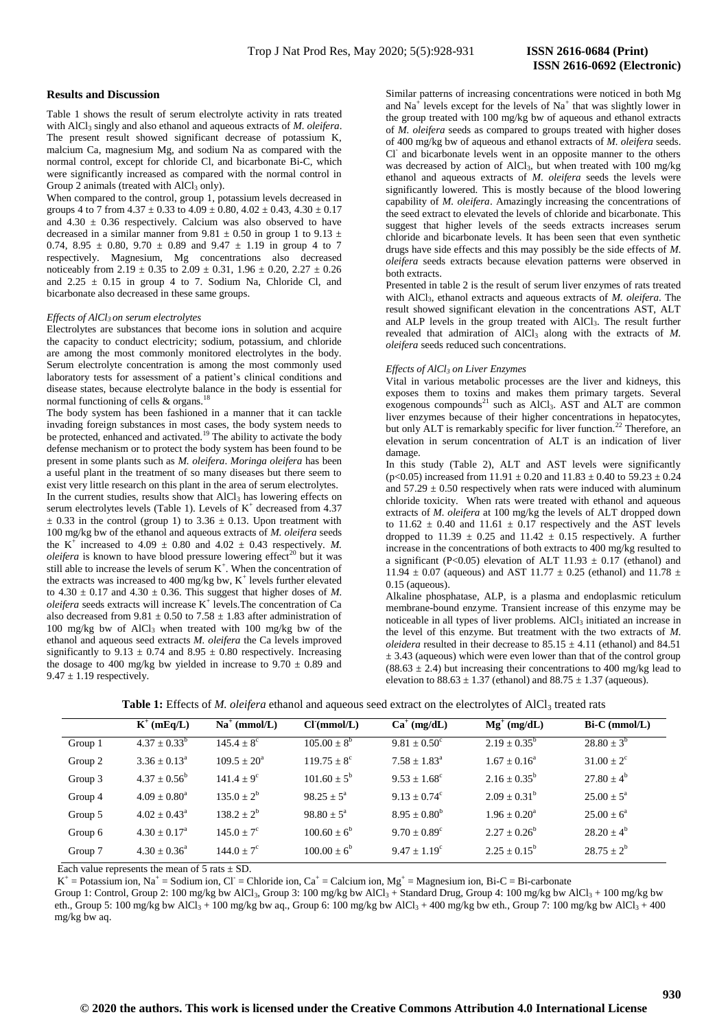# **ISSN 2616-0692 (Electronic)**

## **Results and Discussion**

Table 1 shows the result of serum electrolyte activity in rats treated with AlCl<sub>3</sub> singly and also ethanol and aqueous extracts of *M. oleifera*. The present result showed significant decrease of potassium K, malcium Ca, magnesium Mg, and sodium Na as compared with the normal control, except for chloride Cl, and bicarbonate Bi-C, which were significantly increased as compared with the normal control in Group 2 animals (treated with  $AICI<sub>3</sub>$  only).

When compared to the control, group 1, potassium levels decreased in groups 4 to 7 from  $4.37 \pm 0.33$  to  $4.09 \pm 0.80$ ,  $4.02 \pm 0.43$ ,  $4.30 \pm 0.17$ and  $4.30 \pm 0.36$  respectively. Calcium was also observed to have decreased in a similar manner from 9.81  $\pm$  0.50 in group 1 to 9.13  $\pm$ 0.74, 8.95  $\pm$  0.80, 9.70  $\pm$  0.89 and 9.47  $\pm$  1.19 in group 4 to 7 respectively. Magnesium, Mg concentrations also decreased noticeably from  $2.19 \pm 0.35$  to  $2.09 \pm 0.31$ ,  $1.96 \pm 0.20$ ,  $2.27 \pm 0.26$ and  $2.25 \pm 0.15$  in group 4 to 7. Sodium Na, Chloride Cl, and bicarbonate also decreased in these same groups.

#### *Effects of AlCl3 on serum electrolytes*

Electrolytes are substances that become ions in solution and acquire the capacity to conduct electricity; sodium, potassium, and chloride are among the most commonly monitored electrolytes in the body. Serum electrolyte concentration is among the most commonly used laboratory tests for assessment of a patient's clinical conditions and disease states, because electrolyte balance in the body is essential for normal functioning of cells & organs.<sup>18</sup>

The body system has been fashioned in a manner that it can tackle invading foreign substances in most cases, the body system needs to be protected, enhanced and activated.<sup>19</sup> The ability to activate the body defense mechanism or to protect the body system has been found to be present in some plants such as *M. oleifera*. *Moringa oleifera* has been a useful plant in the treatment of so many diseases but there seem to exist very little research on this plant in the area of serum electrolytes. In the current studies, results show that AlCl<sub>3</sub> has lowering effects on serum electrolytes levels (Table 1). Levels of  $K^+$  decreased from 4.37  $\pm$  0.33 in the control (group 1) to 3.36  $\pm$  0.13. Upon treatment with 100 mg/kg bw of the ethanol and aqueous extracts of *M. oleifera* seeds the K<sup>+</sup> increased to 4.09  $\pm$  0.80 and 4.02  $\pm$  0.43 respectively. *M*. *oleifera* is known to have blood pressure lowering effect<sup>20</sup> but it was still able to increase the levels of serum  $K^+$ . When the concentration of the extracts was increased to 400 mg/kg bw,  $K^+$  levels further elevated to  $4.30 \pm 0.17$  and  $4.30 \pm 0.36$ . This suggest that higher doses of *M*. *oleifera* seeds extracts will increase K<sup>+</sup> levels. The concentration of Ca also decreased from  $9.81 \pm 0.50$  to  $7.58 \pm 1.83$  after administration of 100 mg/kg bw of AlCl<sub>3</sub> when treated with 100 mg/kg bw of the ethanol and aqueous seed extracts *M. oleifera* the Ca levels improved significantly to 9.13  $\pm$  0.74 and 8.95  $\pm$  0.80 respectively. Increasing the dosage to 400 mg/kg bw yielded in increase to  $9.70 \pm 0.89$  and  $9.47 \pm 1.19$  respectively.

Similar patterns of increasing concentrations were noticed in both Mg and  $Na<sup>+</sup>$  levels except for the levels of  $Na<sup>+</sup>$  that was slightly lower in the group treated with 100 mg/kg bw of aqueous and ethanol extracts of *M. oleifera* seeds as compared to groups treated with higher doses of 400 mg/kg bw of aqueous and ethanol extracts of *M. oleifera* seeds. Cl<sup>-</sup> and bicarbonate levels went in an opposite manner to the others was decreased by action of AlCl<sub>3</sub>, but when treated with 100 mg/kg ethanol and aqueous extracts of *M. oleifera* seeds the levels were significantly lowered. This is mostly because of the blood lowering capability of *M. oleifera*. Amazingly increasing the concentrations of the seed extract to elevated the levels of chloride and bicarbonate. This suggest that higher levels of the seeds extracts increases serum chloride and bicarbonate levels. It has been seen that even synthetic drugs have side effects and this may possibly be the side effects of *M. oleifera* seeds extracts because elevation patterns were observed in both extracts.

Presented in table 2 is the result of serum liver enzymes of rats treated with AlCl3, ethanol extracts and aqueous extracts of *M. oleifera*. The result showed significant elevation in the concentrations AST, ALT and ALP levels in the group treated with AlCl<sub>3</sub>. The result further revealed that admiration of  $AICI_3$  along with the extracts of  $M$ . *oleifera* seeds reduced such concentrations.

#### *Effects of AlCl<sup>3</sup> on Liver Enzymes*

Vital in various metabolic processes are the liver and kidneys, this exposes them to toxins and makes them primary targets. Several exogenous compounds $^{21}$  such as AlCl<sub>3</sub>. AST and ALT are common liver enzymes because of their higher concentrations in hepatocytes, but only ALT is remarkably specific for liver function.<sup>22</sup> Therefore, an elevation in serum concentration of ALT is an indication of liver damage.

In this study (Table 2), ALT and AST levels were significantly (p<0.05) increased from  $11.91 \pm 0.20$  and  $11.83 \pm 0.40$  to  $59.23 \pm 0.24$ and  $57.29 \pm 0.50$  respectively when rats were induced with aluminum chloride toxicity. When rats were treated with ethanol and aqueous extracts of *M. oleifera* at 100 mg/kg the levels of ALT dropped down to  $11.62 \pm 0.40$  and  $11.61 \pm 0.17$  respectively and the AST levels dropped to 11.39  $\pm$  0.25 and 11.42  $\pm$  0.15 respectively. A further increase in the concentrations of both extracts to 400 mg/kg resulted to a significant (P<0.05) elevation of ALT 11.93  $\pm$  0.17 (ethanol) and 11.94  $\pm$  0.07 (aqueous) and AST 11.77  $\pm$  0.25 (ethanol) and 11.78  $\pm$ 0.15 (aqueous).

Alkaline phosphatase, ALP, is a plasma and endoplasmic reticulum membrane-bound enzyme. Transient increase of this enzyme may be noticeable in all types of liver problems. AlCl<sub>3</sub> initiated an increase in the level of this enzyme. But treatment with the two extracts of *M. oleidera* resulted in their decrease to  $85.15 \pm 4.11$  (ethanol) and  $84.51$  $\pm$  3.43 (aqueous) which were even lower than that of the control group  $(88.63 \pm 2.4)$  but increasing their concentrations to 400 mg/kg lead to elevation to  $88.63 \pm 1.37$  (ethanol) and  $88.75 \pm 1.37$  (aqueous).

|         | $K^+$ (mEq/L)           | $Na^+$ (mmol/L)     | Cl(mmol/L)             | $Ca^+(mg/dL)$           | $Mg^{+}$ (mg/dL)        | $Bi-C$ (mmol/L) |
|---------|-------------------------|---------------------|------------------------|-------------------------|-------------------------|-----------------|
| Group 1 | $4.37 \pm 0.33^b$       | $145.4 \pm 8^c$     | $105.00 \pm 8^b$       | $9.81 \pm 0.50^{\circ}$ | $2.19 \pm 0.35^b$       | $28.80 \pm 3^b$ |
| Group 2 | $3.36 + 0.13^a$         | $109.5 + 20^a$      | $119.75 + 8^{\circ}$   | $7.58 + 1.83^a$         | $1.67 + 0.16^a$         | $31.00 \pm 2^c$ |
| Group 3 | $4.37 + 0.56^b$         | $141.4 \pm 9^c$     | $101.60 + 5^b$         | $9.53 + 1.68^{\circ}$   | $2.16 + 0.35^b$         | $27.80 \pm 4^b$ |
| Group 4 | $4.09 \pm 0.80^{\circ}$ | $135.0 + 2^b$       | $98.25 + 5^a$          | $9.13 + 0.74^{\circ}$   | $2.09 + 0.31^b$         | $25.00 + 5^a$   |
| Group 5 | $4.02 \pm 0.43^{\circ}$ | $138.2 + 2^b$       | $98.80 \pm 5^{\circ}$  | $8.95 \pm 0.80^b$       | $1.96 \pm 0.20^{\circ}$ | $25.00 \pm 6^a$ |
| Group 6 | $4.30 + 0.17^a$         | $145.0 + 7^{\circ}$ | $100.60 \pm 6^b$       | $9.70 + 0.89^{\circ}$   | $2.27 + 0.26^b$         | $28.20 + 4^b$   |
| Group 7 | $4.30 \pm 0.36^{\circ}$ | $144.0 + 7^{\circ}$ | $100.00 \pm 6^{\circ}$ | $9.47 + 1.19^c$         | $2.25 + 0.15^b$         | $28.75 + 2^b$   |

Table 1: Effects of *M. oleifera* ethanol and aqueous seed extract on the electrolytes of AlCl<sub>3</sub> treated rats

Each value represents the mean of  $5$  rats  $\pm$  SD.

 $K^+$  = Potassium ion, Na<sup>+</sup> = Sodium ion, Cl<sup>-</sup> = Chloride ion, Ca<sup>+</sup> = Calcium ion, Mg<sup>+</sup> = Magnesium ion, Bi-C = Bi-carbonate

Group 1: Control, Group 2: 100 mg/kg bw AlCl<sub>3</sub>, Group 3: 100 mg/kg bw AlCl<sub>3</sub> + Standard Drug, Group 4: 100 mg/kg bw AlCl<sub>3</sub> + 100 mg/kg bw eth., Group 5: 100 mg/kg bw AlCl<sub>3</sub> + 100 mg/kg bw aq., Group 6: 100 mg/kg bw AlCl<sub>3</sub> + 400 mg/kg bw eth., Group 7: 100 mg/kg bw AlCl<sub>3</sub> + 400 mg/kg bw aq.